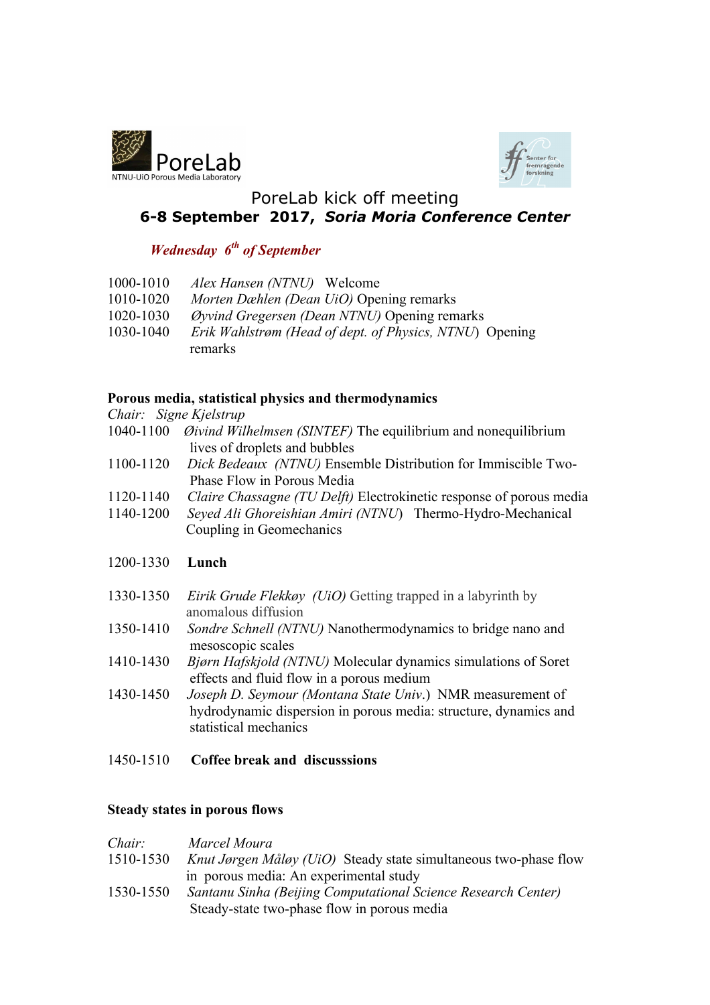



# PoreLab kick off meeting **6-8 September 2017,** *Soria Moria Conference Center*

# *Wednesday 6th of September*

- 1000-1010 *Alex Hansen (NTNU)* Welcome
- 1010-1020 *Morten Dæhlen (Dean UiO)* Opening remarks
- 1020-1030 *Øyvind Gregersen (Dean NTNU)* Opening remarks
- 1030-1040 *Erik Wahlstrøm (Head of dept. of Physics, NTNU*) Opening remarks

### **Porous media, statistical physics and thermodynamics**

*Chair: Signe Kjelstrup*

- 1040-1100 *Øivind Wilhelmsen (SINTEF)* The equilibrium and nonequilibrium lives of droplets and bubbles
- 1100-1120 *Dick Bedeaux (NTNU)* Ensemble Distribution for Immiscible Two- Phase Flow in Porous Media
- 1120-1140 *Claire Chassagne (TU Delft)* Electrokinetic response of porous media
- 1140-1200 *Seyed Ali Ghoreishian Amiri (NTNU*) Thermo-Hydro-Mechanical Coupling in Geomechanics

## 1200-1330 **Lunch**

- 1330-1350 *Eirik Grude Flekkøy (UiO)* Getting trapped in a labyrinth by anomalous diffusion
- 1350-1410 *Sondre Schnell (NTNU)* Nanothermodynamics to bridge nano and mesoscopic scales
- 1410-1430 *Bjørn Hafskjold (NTNU)* Molecular dynamics simulations of Soret effects and fluid flow in a porous medium
- 1430-1450 *Joseph D. Seymour (Montana State Univ*.) NMR measurement of hydrodynamic dispersion in porous media: structure, dynamics and statistical mechanics
- 1450-1510 **Coffee break and discusssions**

#### **Steady states in porous flows**

| Chair:    | Marcel Moura                                                            |
|-----------|-------------------------------------------------------------------------|
| 1510-1530 | <i>Knut Jørgen Måløy (UiO)</i> Steady state simultaneous two-phase flow |
|           | in porous media: An experimental study                                  |
| 1530-1550 | Santanu Sinha (Beijing Computational Science Research Center)           |
|           | Steady-state two-phase flow in porous media                             |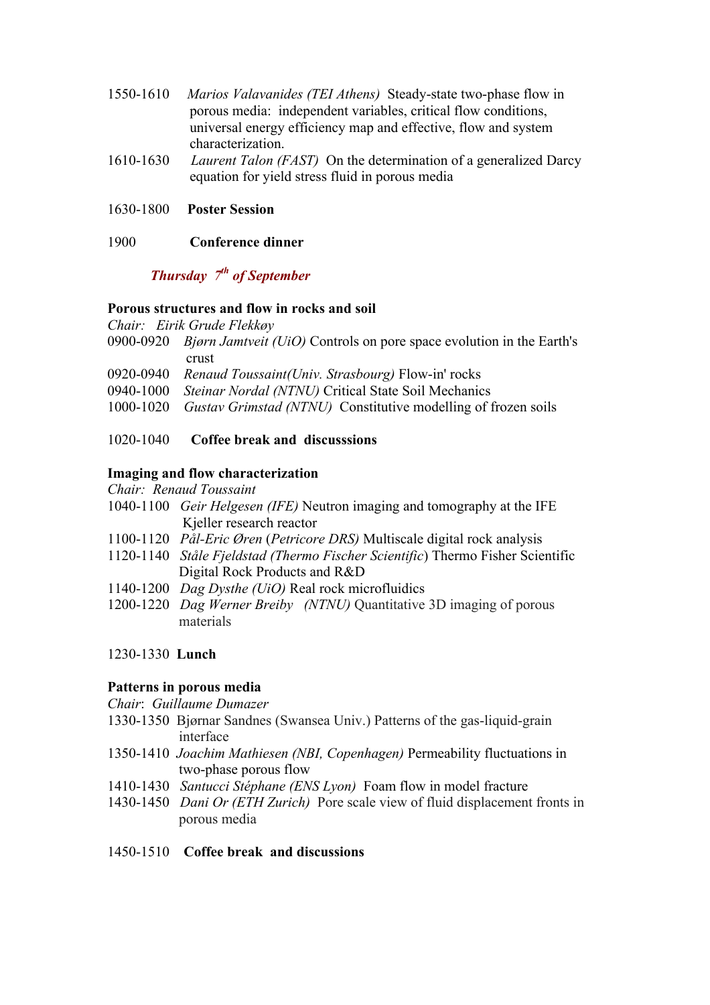- 1550-1610 *Marios Valavanides (TEI Athens)* Steady-state two-phase flow in porous media: independent variables, critical flow conditions, universal energy efficiency map and effective, flow and system characterization.
- 1610-1630 *Laurent Talon (FAST)* On the determination of a generalized Darcy equation for yield stress fluid in porous media
- 1630-1800 **Poster Session**
- 1900 **Conference dinner**

## *Thursday 7th of September*

#### **Porous structures and flow in rocks and soil**

*Chair: Eirik Grude Flekkøy*

- 0900-0920 *Bjørn Jamtveit (UiO)* Controls on pore space evolution in the Earth's crust
- 0920-0940 *Renaud Toussaint(Univ. Strasbourg)* Flow-in' rocks
- 0940-1000 *Steinar Nordal (NTNU)* Critical State Soil Mechanics
- 1000-1020 *Gustav Grimstad (NTNU)* Constitutive modelling of frozen soils

#### 1020-1040 **Coffee break and discusssions**

#### **Imaging and flow characterization**

*Chair: Renaud Toussaint*

- 1040-1100 *Geir Helgesen (IFE)* Neutron imaging and tomography at the IFE Kjeller research reactor
- 1100-1120 *Pål-Eric Øren* (*Petricore DRS)* Multiscale digital rock analysis
- 1120-1140 *Ståle Fjeldstad (Thermo Fischer Scientific*) Thermo Fisher Scientific Digital Rock Products and R&D
- 1140-1200 *Dag Dysthe (UiO)* Real rock microfluidics
- 1200-1220 *Dag Werner Breiby (NTNU)* Quantitative 3D imaging of porous materials

#### 1230-1330 **Lunch**

#### **Patterns in porous media**

*Chair*: *Guillaume Dumazer* 

- 1330-1350 Bjørnar Sandnes (Swansea Univ.) Patterns of the gas-liquid-grain interface
- 1350-1410 *Joachim Mathiesen (NBI, Copenhagen)* Permeability fluctuations in two-phase porous flow
- 1410-1430 *Santucci Stéphane (ENS Lyon)* Foam flow in model fracture
- 1430-1450 *Dani Or (ETH Zurich)* Pore scale view of fluid displacement fronts in porous media
- 1450-1510 **Coffee break and discussions**